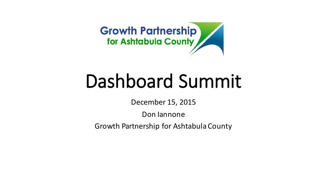

# Dashboard Summit

December 15, 2015

Don lannone

Growth Partnership for Ashtabula County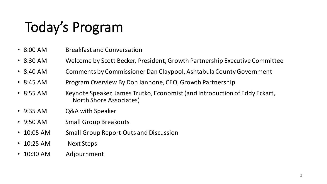## Today's Program

- 8:00 AM Breakfast and Conversation
- 8:30 AM Welcome by Scott Becker, President, Growth Partnership Executive Committee
- 8:40 AM Comments by Commissioner Dan Claypool, Ashtabula County Government
- 8:45 AM Program Overview By Don Jannone, CEO, Growth Partnership
- 8:55 AM Keynote Speaker, James Trutko, Economist (and introduction of Eddy Eckart, North Shore Associates)
- 9:35 AM Q&A with Speaker
- 9:50 AM Small Group Breakouts
- 10:05 AM Small Group Report-Outs and Discussion
- 10:25 AM Next Steps
- 10:30 AM Adjournment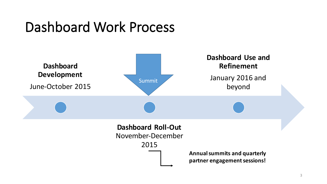#### Dashboard Work Process

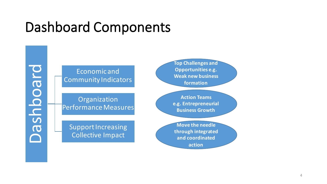### Dashboard Components

board Dashboard  $\overline{\mathbf{C}}$ 

Economic and Community Indicators

Organization Performance Measures

Support Increasing **Collective Impact** 

**Top Challenges and Opportunities e.g. Weak new business formation**

**Action Teams e.g. Entrepreneurial Business Growth**

**Move the needle through integrated**  and coordinated **action**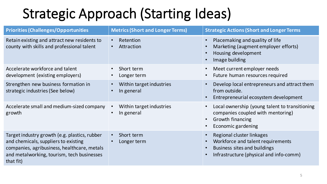### Strategic Approach (Starting Ideas)

| <b>Priorities (Challenges/Opportunities</b>                                                                                                                                                     | <b>Metrics (Short and Longer Terms)</b>             | <b>Strategic Actions (Short and Longer Terms)</b>                                                                                                                                             |
|-------------------------------------------------------------------------------------------------------------------------------------------------------------------------------------------------|-----------------------------------------------------|-----------------------------------------------------------------------------------------------------------------------------------------------------------------------------------------------|
| Retain existing and attract new residents to<br>county with skills and professional talent                                                                                                      | Retention<br>Attraction                             | Placemaking and quality of life<br>$\bullet$<br>Marketing (augment employer efforts)<br>$\bullet$<br>Housing development<br>$\bullet$<br>Image building<br>$\bullet$                          |
| Accelerate workforce and talent<br>development (existing employers)                                                                                                                             | Short term<br>Longer term                           | Meet current employer needs<br>$\bullet$<br>Future human resources required<br>$\bullet$                                                                                                      |
| Strengthen new business formation in<br>strategic industries (See below)                                                                                                                        | Within target industries<br>$\bullet$<br>In general | Develop local entrepreneurs and attract them<br>$\bullet$<br>from outside.<br>Entrepreneurial ecosystem development<br>$\bullet$                                                              |
| Accelerate small and medium-sized company<br>growth                                                                                                                                             | Within target industries<br>In general              | Local ownership (young talent to transitioning<br>$\bullet$<br>companies coupled with mentoring)<br><b>Growth financing</b><br>$\bullet$<br>Economic gardening                                |
| Target industry growth (e.g. plastics, rubber<br>and chemicals, suppliers to existing<br>companies, agribusiness, healthcare, metals<br>and metalworking, tourism, tech businesses<br>that fit) | Short term<br>Longer term                           | Regional cluster linkages<br>$\bullet$<br>Workforce and talent requirements<br>$\bullet$<br>Business sites and buildings<br>$\bullet$<br>Infrastructure (physical and info-comm)<br>$\bullet$ |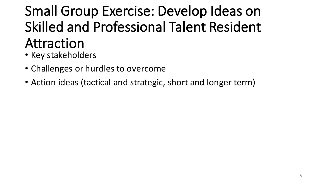## Small Group Exercise: Develop Ideas on Skilled and Professional Talent Resident Attraction

- Key stakeholders
- Challenges or hurdles to overcome
- Action ideas (tactical and strategic, short and longer term)